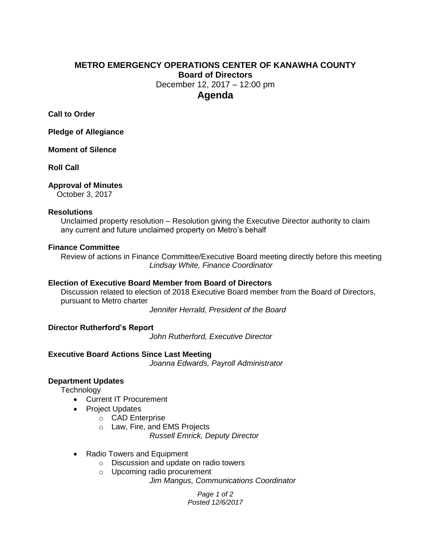# **METRO EMERGENCY OPERATIONS CENTER OF KANAWHA COUNTY Board of Directors** December 12, 2017 – 12:00 pm **Agenda**

**Call to Order**

**Pledge of Allegiance**

**Moment of Silence**

**Roll Call**

#### **Approval of Minutes**

October 3, 2017

#### **Resolutions**

Unclaimed property resolution – Resolution giving the Executive Director authority to claim any current and future unclaimed property on Metro's behalf

#### **Finance Committee**

Review of actions in Finance Committee/Executive Board meeting directly before this meeting *Lindsay White, Finance Coordinator*

## **Election of Executive Board Member from Board of Directors**

Discussion related to election of 2018 Executive Board member from the Board of Directors, pursuant to Metro charter

*Jennifer Herrald, President of the Board*

#### **Director Rutherford's Report**

*John Rutherford, Executive Director*

#### **Executive Board Actions Since Last Meeting**

*Joanna Edwards, Payroll Administrator*

#### **Department Updates**

**Technology** 

- Current IT Procurement
- Project Updates
	- o CAD Enterprise
	- o Law, Fire, and EMS Projects

*Russell Emrick, Deputy Director*

- Radio Towers and Equipment
	- o Discussion and update on radio towers
	- o Upcoming radio procurement

*Jim Mangus, Communications Coordinator*

*Page 1 of 2 Posted 12/6/2017*